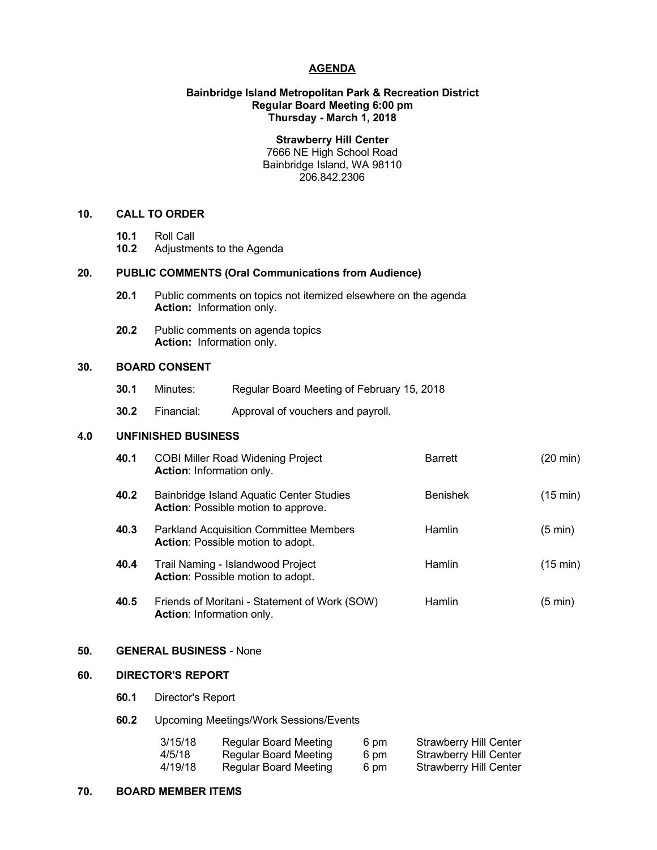## **AGENDA**

## **Bainbridge Island Metropolitan Park & Recreation District Regular Board Meeting 6:00 pm Thursday - March 1, 2018**

**Strawberry Hill Center** 7666 NE High School Road Bainbridge Island, WA 98110 206.842.2306

## **10. CALL TO ORDER**

- **10.1** Roll Call
- **10.2** Adjustments to the Agenda

# **20. PUBLIC COMMENTS (Oral Communications from Audience)**

- **20.1** Public comments on topics not itemized elsewhere on the agenda **Action:** Information only.
- **20.2** Public comments on agenda topics **Action:** Information only.

## **30. BOARD CONSENT**

- **30.1** Minutes: Regular Board Meeting of February 15, 2018
- **30.2** Financial: Approval of vouchers and payroll.

## **4.0 UNFINISHED BUSINESS**

| 40.1 | <b>COBI Miller Road Widening Project</b><br><b>Action: Information only.</b>           | <b>Barrett</b>  | (20 min)           |
|------|----------------------------------------------------------------------------------------|-----------------|--------------------|
| 40.2 | Bainbridge Island Aquatic Center Studies<br><b>Action:</b> Possible motion to approve. | <b>Benishek</b> | $(15 \text{ min})$ |
| 40.3 | <b>Parkland Acquisition Committee Members</b><br>Action: Possible motion to adopt.     | Hamlin          | (5 min)            |
| 40.4 | Trail Naming - Islandwood Project<br><b>Action:</b> Possible motion to adopt.          | Hamlin          | $(15 \text{ min})$ |
| 40.5 | Friends of Moritani - Statement of Work (SOW)<br><b>Action: Information only.</b>      | Hamlin          | (5 min)            |

# **50. GENERAL BUSINESS** - None

# **60. DIRECTOR'S REPORT**

- **60.1** Director's Report
- **60.2** Upcoming Meetings/Work Sessions/Events

| 3/15/18 | <b>Regular Board Meeting</b> | 6 pm | Strawberry Hill Center |
|---------|------------------------------|------|------------------------|
| 4/5/18  | Regular Board Meeting        | 6 pm | Strawberry Hill Center |
| 4/19/18 | Regular Board Meeting        | 6 pm | Strawberry Hill Center |

## **70. BOARD MEMBER ITEMS**